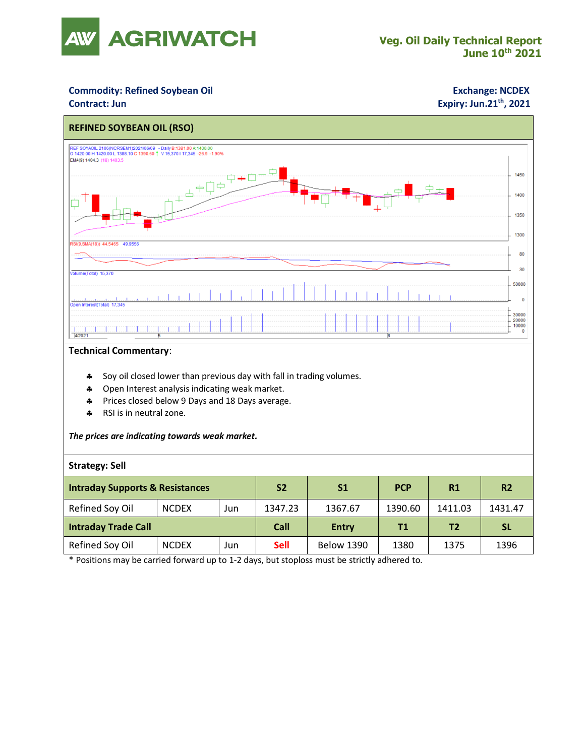

## **Commodity: Refined Soybean Oil <b>Exchange: NCDEX**

# **Contract: Jun Expiry: Jun.21<sup>th</sup>, 2021**



#### **Technical Commentary**:

- \* Soy oil closed lower than previous day with fall in trading volumes.
- **4** Open Interest analysis indicating weak market.
- \* Prices closed below 9 Days and 18 Days average.
- \* RSI is in neutral zone.

#### *The prices are indicating towards weak market.*

### **Strategy: Sell**

| <b>Intraday Supports &amp; Resistances</b> |              |     | S <sub>2</sub> | S1                | <b>PCP</b> | R1      | <b>R2</b> |
|--------------------------------------------|--------------|-----|----------------|-------------------|------------|---------|-----------|
| Refined Soy Oil                            | <b>NCDEX</b> | Jun | 1347.23        | 1367.67           | 1390.60    | 1411.03 | 1431.47   |
| <b>Intraday Trade Call</b>                 |              |     | Call           | <b>Entry</b>      | Τ1         | T2      | <b>SL</b> |
| Refined Soy Oil                            | <b>NCDEX</b> | Jun | <b>Sell</b>    | <b>Below 1390</b> | 1380       | 1375    | 1396      |

\* Positions may be carried forward up to 1-2 days, but stoploss must be strictly adhered to.